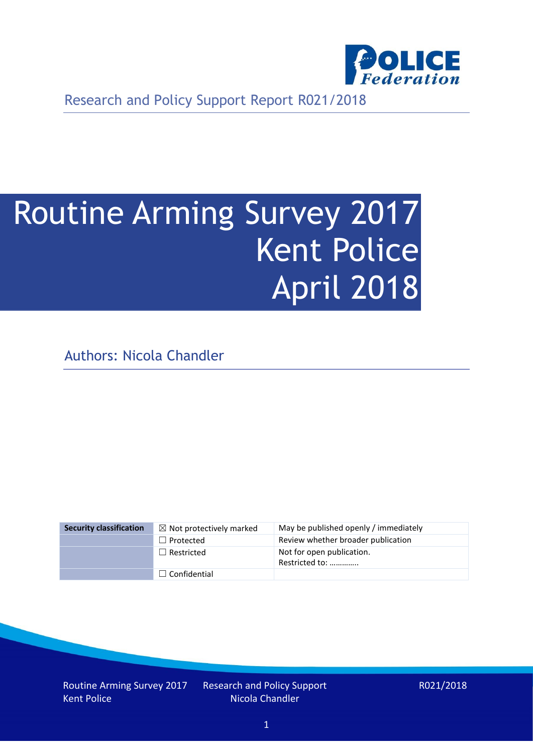

Research and Policy Support Report R021/2018

# Routine Arming Survey 2017 Kent Police April 2018

Authors: Nicola Chandler

| <b>Security classification</b> | $\boxtimes$ Not protectively marked | May be published openly / immediately       |
|--------------------------------|-------------------------------------|---------------------------------------------|
|                                | $\Box$ Protected                    | Review whether broader publication          |
|                                | $\Box$ Restricted                   | Not for open publication.<br>Restricted to: |
|                                | $\Box$ Confidential                 |                                             |

Routine Arming Survey 2017 Kent Police

Research and Policy Support Nicola Chandler

R021/2018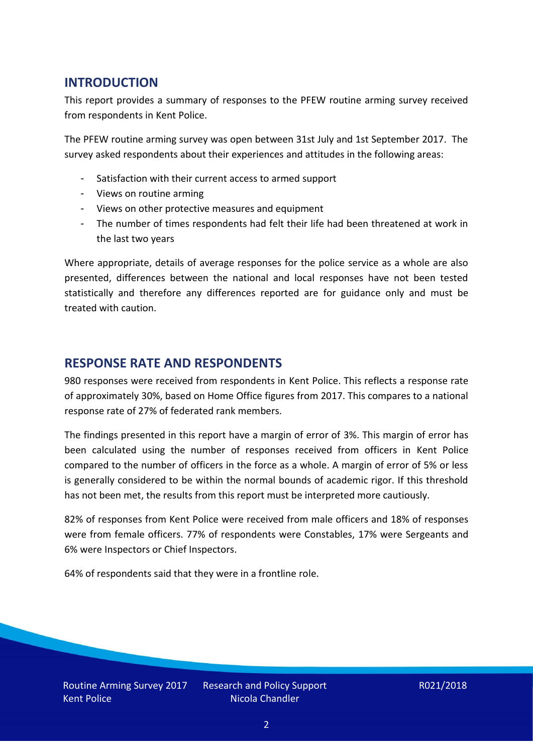## **INTRODUCTION**

This report provides a summary of responses to the PFEW routine arming survey received from respondents in Kent Police.

The PFEW routine arming survey was open between 31st July and 1st September 2017. The survey asked respondents about their experiences and attitudes in the following areas:

- Satisfaction with their current access to armed support
- Views on routine arming
- Views on other protective measures and equipment
- The number of times respondents had felt their life had been threatened at work in the last two years

Where appropriate, details of average responses for the police service as a whole are also presented, differences between the national and local responses have not been tested statistically and therefore any differences reported are for guidance only and must be treated with caution.

### **RESPONSE RATE AND RESPONDENTS**

980 responses were received from respondents in Kent Police. This reflects a response rate of approximately 30%, based on Home Office figures from 2017. This compares to a national response rate of 27% of federated rank members.

The findings presented in this report have a margin of error of 3%. This margin of error has been calculated using the number of responses received from officers in Kent Police compared to the number of officers in the force as a whole. A margin of error of 5% or less is generally considered to be within the normal bounds of academic rigor. If this threshold has not been met, the results from this report must be interpreted more cautiously.

82% of responses from Kent Police were received from male officers and 18% of responses were from female officers. 77% of respondents were Constables, 17% were Sergeants and 6% were Inspectors or Chief Inspectors.

64% of respondents said that they were in a frontline role.

Routine Arming Survey 2017 Kent Police

Research and Policy Support Nicola Chandler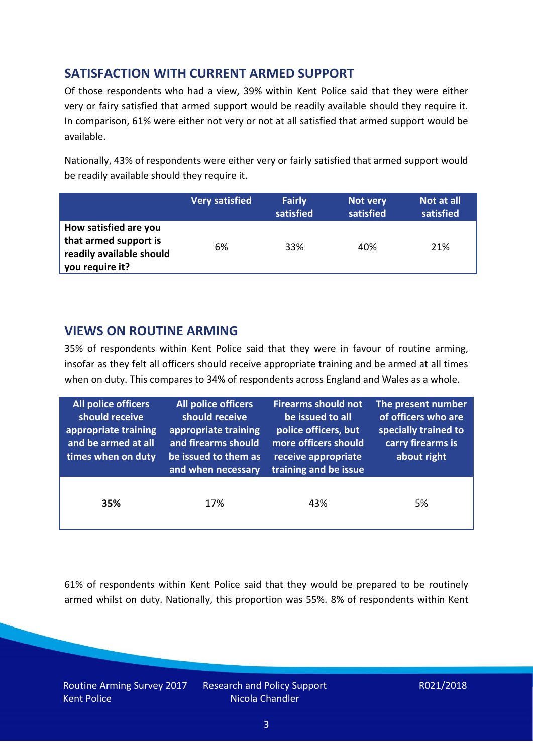## **SATISFACTION WITH CURRENT ARMED SUPPORT**

Of those respondents who had a view, 39% within Kent Police said that they were either very or fairy satisfied that armed support would be readily available should they require it. In comparison, 61% were either not very or not at all satisfied that armed support would be available.

Nationally, 43% of respondents were either very or fairly satisfied that armed support would be readily available should they require it.

|                                                                                               | <b>Very satisfied</b> | <b>Fairly</b><br>satisfied | Not very<br>satisfied | Not at all<br>satisfied |
|-----------------------------------------------------------------------------------------------|-----------------------|----------------------------|-----------------------|-------------------------|
| How satisfied are you<br>that armed support is<br>readily available should<br>you require it? | 6%                    | 33%                        | 40%                   | 21%                     |

### **VIEWS ON ROUTINE ARMING**

35% of respondents within Kent Police said that they were in favour of routine arming, insofar as they felt all officers should receive appropriate training and be armed at all times when on duty. This compares to 34% of respondents across England and Wales as a whole.

| <b>All police officers</b><br>should receive<br>appropriate training<br>and be armed at all<br>times when on duty | All police officers<br>should receive<br>appropriate training<br>and firearms should<br>be issued to them as<br>and when necessary | <b>Firearms should not</b><br>be issued to all<br>police officers, but<br>more officers should<br>receive appropriate<br>training and be issue | The present number<br>of officers who are<br>specially trained to<br>carry firearms is<br>about right |  |
|-------------------------------------------------------------------------------------------------------------------|------------------------------------------------------------------------------------------------------------------------------------|------------------------------------------------------------------------------------------------------------------------------------------------|-------------------------------------------------------------------------------------------------------|--|
| 35%                                                                                                               | 17%                                                                                                                                | 43%                                                                                                                                            | 5%                                                                                                    |  |

61% of respondents within Kent Police said that they would be prepared to be routinely armed whilst on duty. Nationally, this proportion was 55%. 8% of respondents within Kent

Routine Arming Survey 2017 Kent Police

Research and Policy Support Nicola Chandler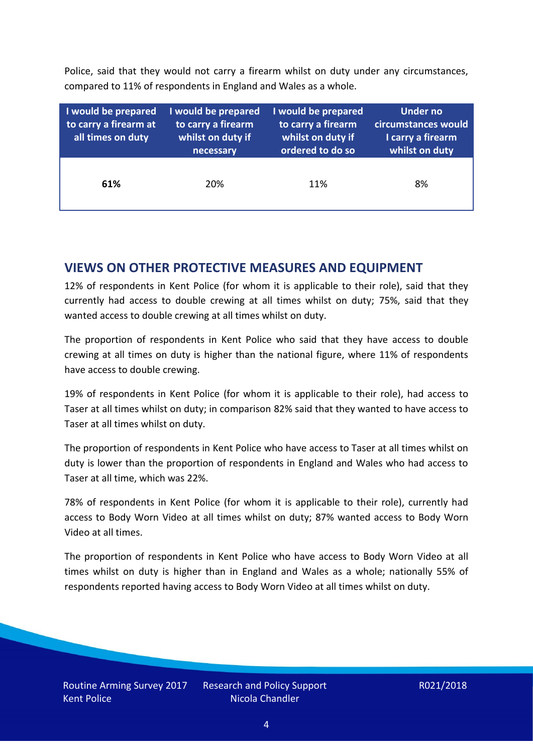Police, said that they would not carry a firearm whilst on duty under any circumstances, compared to 11% of respondents in England and Wales as a whole.

| I would be prepared<br>to carry a firearm at<br>all times on duty | I would be prepared<br>to carry a firearm<br>whilst on duty if<br>necessary | I would be prepared<br>to carry a firearm<br>whilst on duty if<br>ordered to do so | <b>Under no</b><br>circumstances would<br>I carry a firearm<br>whilst on duty |  |  |
|-------------------------------------------------------------------|-----------------------------------------------------------------------------|------------------------------------------------------------------------------------|-------------------------------------------------------------------------------|--|--|
| 61%                                                               | 20%                                                                         | 11%                                                                                | 8%                                                                            |  |  |

### **VIEWS ON OTHER PROTECTIVE MEASURES AND EQUIPMENT**

12% of respondents in Kent Police (for whom it is applicable to their role), said that they currently had access to double crewing at all times whilst on duty; 75%, said that they wanted access to double crewing at all times whilst on duty.

The proportion of respondents in Kent Police who said that they have access to double crewing at all times on duty is higher than the national figure, where 11% of respondents have access to double crewing.

19% of respondents in Kent Police (for whom it is applicable to their role), had access to Taser at all times whilst on duty; in comparison 82% said that they wanted to have access to Taser at all times whilst on duty.

The proportion of respondents in Kent Police who have access to Taser at all times whilst on duty is lower than the proportion of respondents in England and Wales who had access to Taser at all time, which was 22%.

78% of respondents in Kent Police (for whom it is applicable to their role), currently had access to Body Worn Video at all times whilst on duty; 87% wanted access to Body Worn Video at all times.

The proportion of respondents in Kent Police who have access to Body Worn Video at all times whilst on duty is higher than in England and Wales as a whole; nationally 55% of respondents reported having access to Body Worn Video at all times whilst on duty.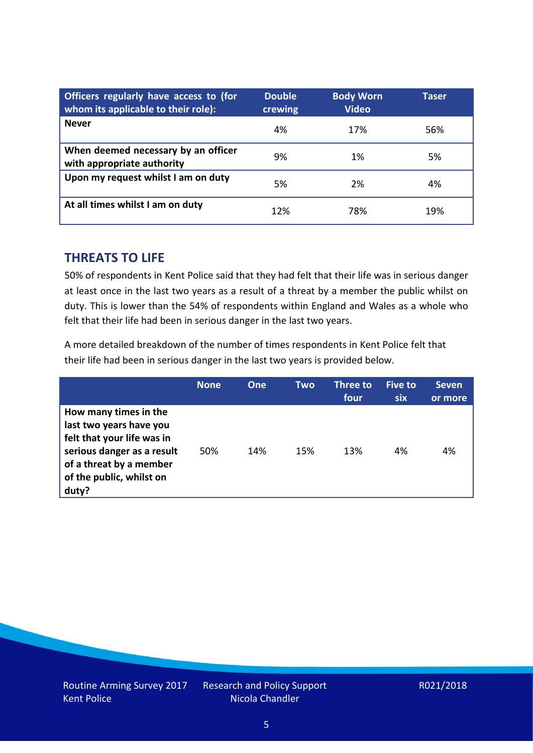| Officers regularly have access to (for<br>whom its applicable to their role): | <b>Double</b><br>crewing | <b>Body Worn</b><br><b>Video</b> | Taser |
|-------------------------------------------------------------------------------|--------------------------|----------------------------------|-------|
| <b>Never</b>                                                                  | 4%                       | 17%                              | 56%   |
| When deemed necessary by an officer<br>with appropriate authority             | 9%                       | 1%                               | 5%    |
| Upon my request whilst I am on duty                                           | 5%                       | 2%                               | 4%    |
| At all times whilst I am on duty                                              | 12%                      | 78%                              | 19%   |

#### **THREATS TO LIFE**

50% of respondents in Kent Police said that they had felt that their life was in serious danger at least once in the last two years as a result of a threat by a member the public whilst on duty. This is lower than the 54% of respondents within England and Wales as a whole who felt that their life had been in serious danger in the last two years.

A more detailed breakdown of the number of times respondents in Kent Police felt that their life had been in serious danger in the last two years is provided below.

|                                                                                                                                                                              | <b>None</b> | One | Two | Three to<br>four | Five to<br>six | <b>Seven</b><br>or more |
|------------------------------------------------------------------------------------------------------------------------------------------------------------------------------|-------------|-----|-----|------------------|----------------|-------------------------|
| How many times in the<br>last two years have you<br>felt that your life was in<br>serious danger as a result<br>of a threat by a member<br>of the public, whilst on<br>duty? | 50%         | 14% | 15% | 13%              | 4%             | 4%                      |

Research and Policy Support Nicola Chandler